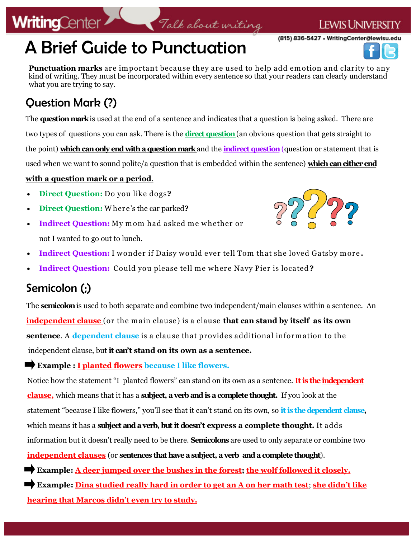# A Brief Guide to Punctuation

**Punctuation marks** are important because they are used to help add em otion and clarity to any kind of writing. They must be incorporated within every sentence so that your readers can clearly understand what you are trying to say.

Talk about writing

### Question Mark (?)

**WritingCenter** 

The **question mark** is used at the end of a sentence and indicates that a question is being asked. There are two types of questions you can ask. There is the **direct question** (an obvious question that gets straight to the point) **which can only end with a question mark** and the **indirect question**(question or statement that is used when we want to sound polite/a question that is embedded within the sentence) **which can either end** 

#### **with a question mark or a period**.

- **Direct Question:** Do you like dogs**?**
- **Direct Question:** W here's the car parked**?**
- **Indirect Question:** My mom had asked me whether or not I wanted to go out to lunch.
- 
- **Indirect Question:** I wonder if Daisy would ever tell Tom that she loved Gatsby more.
- **Indirect Question:** Could you please tell me w here Navy Pier is located **?**

#### Semicolon (;)

The **semicolon**is used to both separate and combine two independent/main clauses within a sentence. An **independent clause** (or the m ain clause) is a clause **that can stand by itself as its own sentence**. A **dependent clause** is a clause that provides additional inform ation to the independent clause, but **it can't stand on its own as a sentence.** 

#### **Example : I planted flowers because I like flowers.**

Notice how the statement "I planted flowers" can stand on its own as a sentence. **It is the independent clause,** which means that it has a **subject, a verb and is a complete thought.** If you look at the statement "because I like flowers," you'll see that it can't stand on its own, so **it is the dependent clause,**  which means it has a **subject and a verb, but it doesn't express a complete thought.** It adds information but it doesn't really need to be there. **Semicolons** are used to only separate or combine two **independent clauses** (or **sentences that have a subject, a verb and a complete thought**).

**Example: A deer jumped over the bushes in the forest; the wolf followed it closely.** 

**Example: Dina studied really hard in order to get an A on her math test**; **she didn't like hearing that Marcos didn't even try to study.** 





**LEWIS UNIVERSITY**